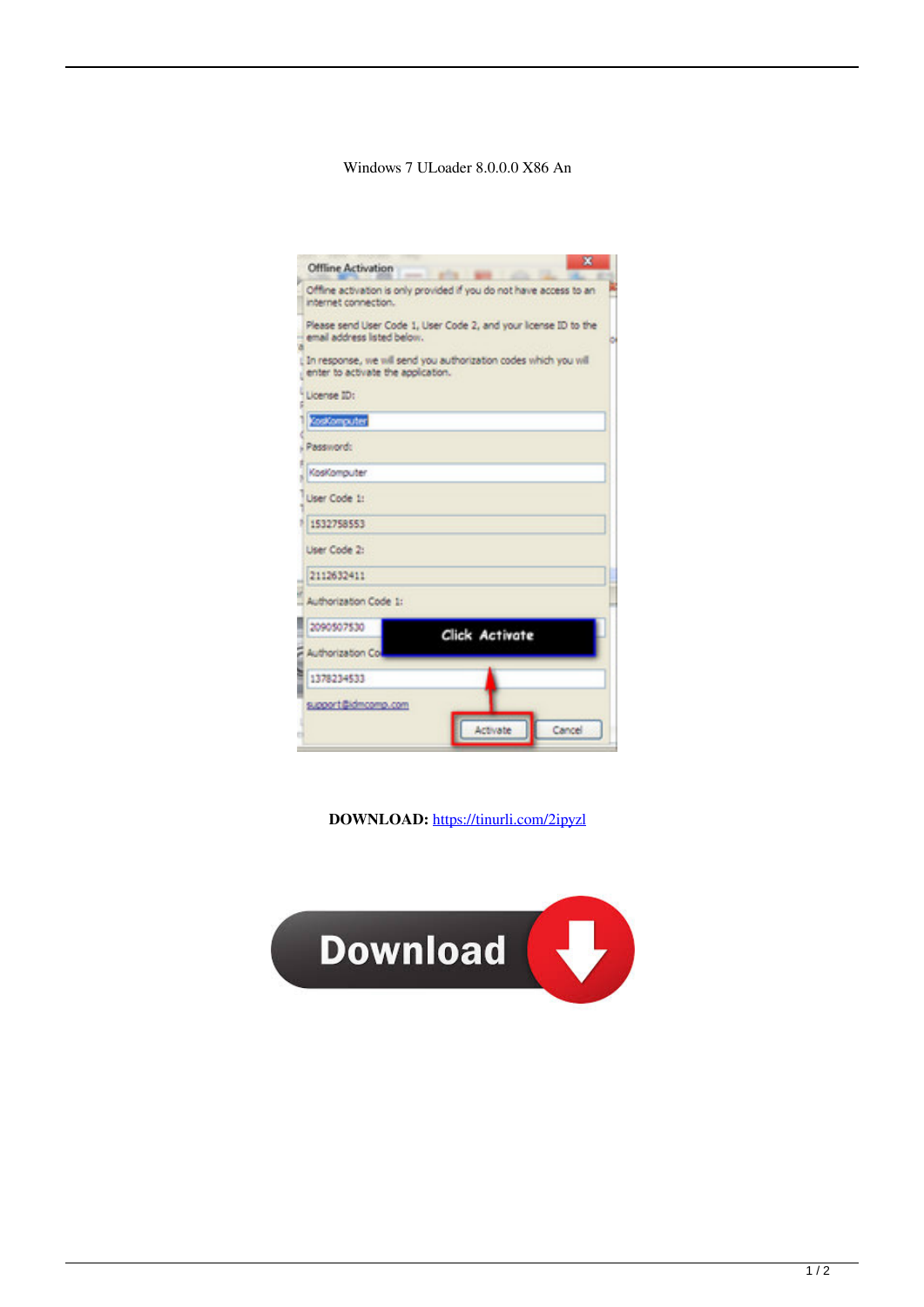## Windows 7 ULoader 8.0.0.0 X86 An

| Offline Activation                 | $\mathbf x$<br>٠                                                    |
|------------------------------------|---------------------------------------------------------------------|
| internet connection.               | Offline activation is only provided if you do not have access to an |
| email address listed below.        | Please send User Code 1, User Code 2, and your Icense ID to the     |
| enter to activate the application. | In response, we will send you authorization codes which you will    |
| License ID:                        |                                                                     |
| Cookomputer                        |                                                                     |
| Password:                          |                                                                     |
| KosKomouter                        |                                                                     |
| Liser Code 1:                      |                                                                     |
| 1532758553                         |                                                                     |
| User Code 2:                       |                                                                     |
| 2112632411                         |                                                                     |
| Authorization Code 1:              |                                                                     |
| 2090507530                         | <b>Click Activate</b>                                               |
| Authorization Co.                  |                                                                     |
| 1378234533                         |                                                                     |
| support@idmcomp.com                |                                                                     |
|                                    | Activate<br>Cancel                                                  |

DOWNLOAD: https://tinurli.com/2ipyzl